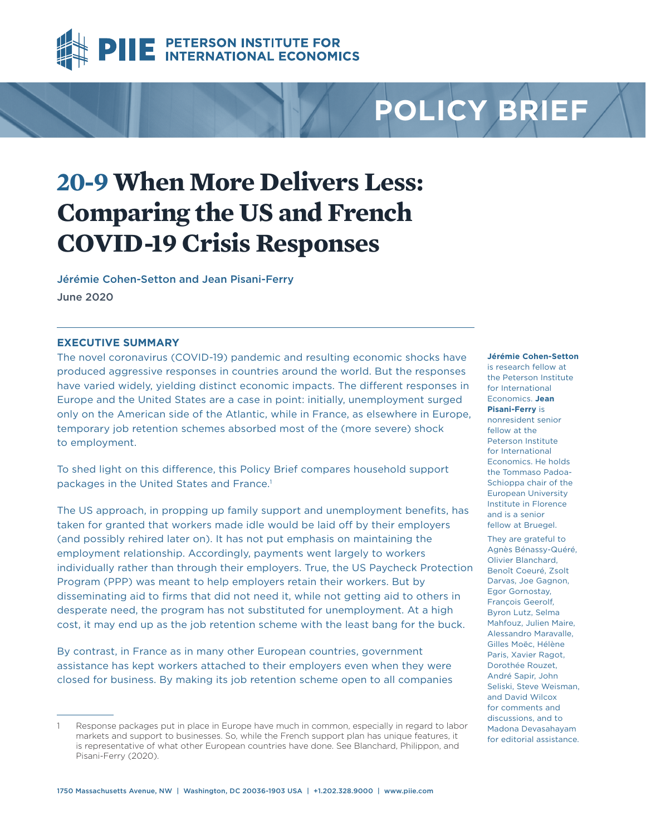

# **POLICY BRIEF**

# **20-9 When More Delivers Less: Comparing the US and French COVID-19 Crisis Responses**

[Jérémie Cohen-Setton](https://www.piie.com/experts/senior-research-staff/jeremie-cohen-setton) and [Jean Pisani-Ferry](https://www.piie.com/experts/senior-research-staff/jean-pisani-ferry) June 2020

# **EXECUTIVE SUMMARY**

The novel coronavirus (COVID-19) pandemic and resulting economic shocks have produced aggressive responses in countries around the world. But the responses have varied widely, yielding distinct economic impacts. The different responses in Europe and the United States are a case in point: initially, unemployment surged only on the American side of the Atlantic, while in France, as elsewhere in Europe, temporary job retention schemes absorbed most of the (more severe) shock to employment.

To shed light on this difference, this Policy Brief compares household support packages in the United States and France.<sup>1</sup>

The US approach, in propping up family support and unemployment benefits, has taken for granted that workers made idle would be laid off by their employers (and possibly rehired later on). It has not put emphasis on maintaining the employment relationship. Accordingly, payments went largely to workers individually rather than through their employers. True, the US Paycheck Protection Program (PPP) was meant to help employers retain their workers. But by disseminating aid to firms that did not need it, while not getting aid to others in desperate need, the program has not substituted for unemployment. At a high cost, it may end up as the job retention scheme with the least bang for the buck.

By contrast, in France as in many other European countries, government assistance has kept workers attached to their employers even when they were closed for business. By making its job retention scheme open to all companies **Jérémie Cohen-Setton** is research fellow at

the Peterson Institute for International Economics. **Jean Pisani-Ferry** is nonresident senior fellow at the Peterson Institute for International Economics. He holds the Tommaso Padoa-Schioppa chair of the European University Institute in Florence and is a senior fellow at Bruegel. They are grateful to Agnès Bénassy-Quéré, Olivier Blanchard, Benoît Coeuré, Zsolt Darvas, Joe Gagnon, Egor Gornostay, François Geerolf, Byron Lutz, Selma Mahfouz, Julien Maire, Alessandro Maravalle, Gilles Moëc, Hélène Paris, Xavier Ragot, Dorothée Rouzet, André Sapir, John Seliski, Steve Weisman, and David Wilcox for comments and discussions, and to Madona Devasahayam for editorial assistance.

Response packages put in place in Europe have much in common, especially in regard to labor markets and support to businesses. So, while the French support plan has unique features, it is representative of what other European countries have done. See Blanchard, Philippon, and Pisani-Ferry (2020).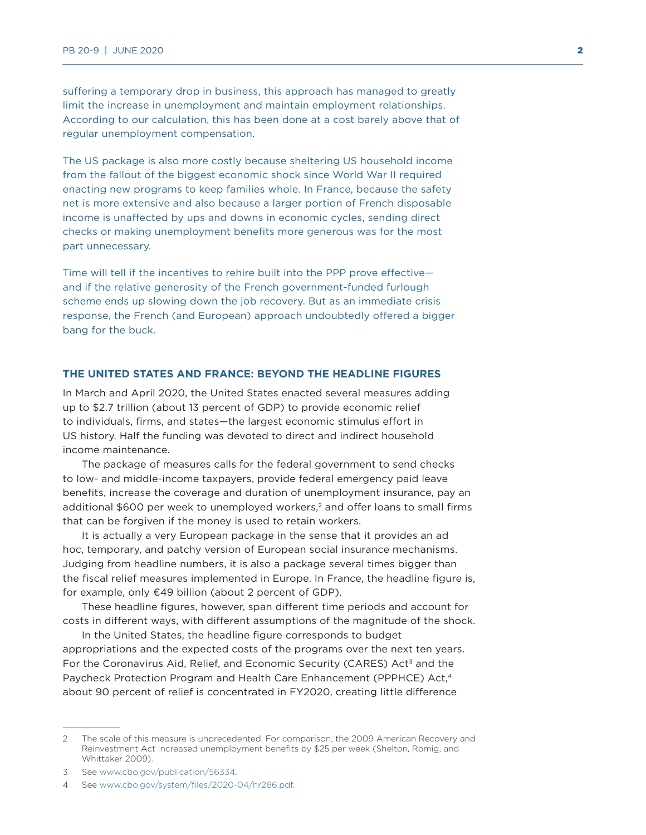suffering a temporary drop in business, this approach has managed to greatly limit the increase in unemployment and maintain employment relationships. According to our calculation, this has been done at a cost barely above that of regular unemployment compensation.

The US package is also more costly because sheltering US household income from the fallout of the biggest economic shock since World War II required enacting new programs to keep families whole. In France, because the safety net is more extensive and also because a larger portion of French disposable income is unaffected by ups and downs in economic cycles, sending direct checks or making unemployment benefits more generous was for the most part unnecessary.

Time will tell if the incentives to rehire built into the PPP prove effective and if the relative generosity of the French government-funded furlough scheme ends up slowing down the job recovery. But as an immediate crisis response, the French (and European) approach undoubtedly offered a bigger bang for the buck.

# **THE UNITED STATES AND FRANCE: BEYOND THE HEADLINE FIGURES**

In March and April 2020, the United States enacted several measures adding up to \$2.7 trillion (about 13 percent of GDP) to provide economic relief to individuals, firms, and states—the largest economic stimulus effort in US history. Half the funding was devoted to direct and indirect household income maintenance.

The package of measures calls for the federal government to send checks to low- and middle-income taxpayers, provide federal emergency paid leave benefits, increase the coverage and duration of unemployment insurance, pay an additional \$600 per week to unemployed workers,<sup>2</sup> and offer loans to small firms that can be forgiven if the money is used to retain workers.

It is actually a very European package in the sense that it provides an ad hoc, temporary, and patchy version of European social insurance mechanisms. Judging from headline numbers, it is also a package several times bigger than the fiscal relief measures implemented in Europe. In France, the headline figure is, for example, only €49 billion (about 2 percent of GDP).

These headline figures, however, span different time periods and account for costs in different ways, with different assumptions of the magnitude of the shock.

In the United States, the headline figure corresponds to budget appropriations and the expected costs of the programs over the next ten years. For the Coronavirus Aid, Relief, and Economic Security (CARES) Act<sup>3</sup> and the Paycheck Protection Program and Health Care Enhancement (PPPHCE) Act,<sup>4</sup> about 90 percent of relief is concentrated in FY2020, creating little difference

<sup>2</sup> The scale of this measure is unprecedented. For comparison, the 2009 American Recovery and Reinvestment Act increased unemployment benefits by \$25 per week (Shelton, Romig, and Whittaker 2009).

<sup>3</sup> See [www.cbo.gov/publication/56334](http://www.cbo.gov/publication/56334).

<sup>4</sup> See [www.cbo.gov/system/files/2020-04/hr266.pdf.](http://www.cbo.gov/system/files/2020-04/hr266.pdf)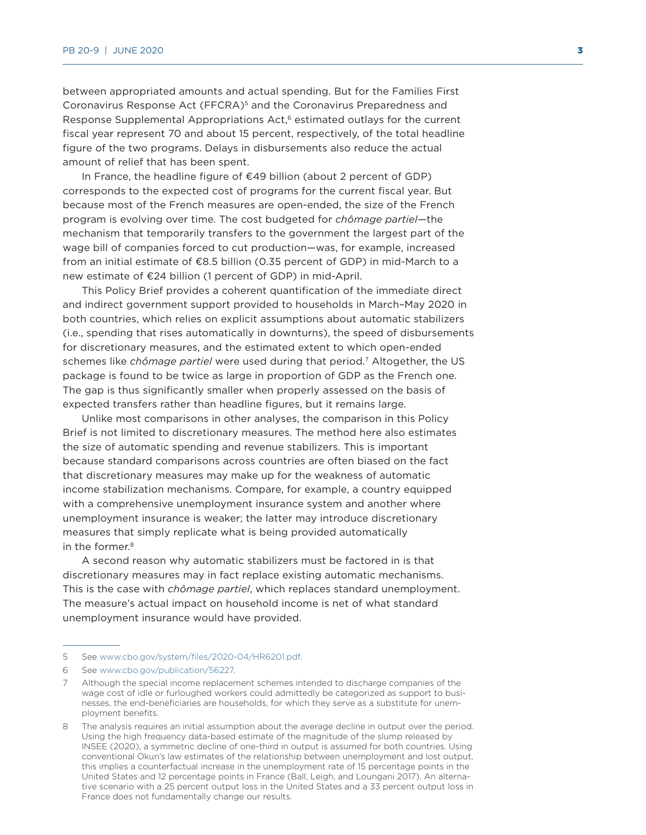between appropriated amounts and actual spending. But for the Families First Coronavirus Response Act (FFCRA)5 and the Coronavirus Preparedness and Response Supplemental Appropriations Act,<sup>6</sup> estimated outlays for the current fiscal year represent 70 and about 15 percent, respectively, of the total headline figure of the two programs. Delays in disbursements also reduce the actual amount of relief that has been spent.

In France, the headline figure of €49 billion (about 2 percent of GDP) corresponds to the expected cost of programs for the current fiscal year. But because most of the French measures are open-ended, the size of the French program is evolving over time. The cost budgeted for *chômage partiel*—the mechanism that temporarily transfers to the government the largest part of the wage bill of companies forced to cut production—was, for example, increased from an initial estimate of €8.5 billion (0.35 percent of GDP) in mid-March to a new estimate of €24 billion (1 percent of GDP) in mid-April.

This Policy Brief provides a coherent quantification of the immediate direct and indirect government support provided to households in March–May 2020 in both countries, which relies on explicit assumptions about automatic stabilizers (i.e., spending that rises automatically in downturns), the speed of disbursements for discretionary measures, and the estimated extent to which open-ended schemes like *chômage partiel* were used during that period.7 Altogether, the US package is found to be twice as large in proportion of GDP as the French one. The gap is thus significantly smaller when properly assessed on the basis of expected transfers rather than headline figures, but it remains large.

Unlike most comparisons in other analyses, the comparison in this Policy Brief is not limited to discretionary measures. The method here also estimates the size of automatic spending and revenue stabilizers. This is important because standard comparisons across countries are often biased on the fact that discretionary measures may make up for the weakness of automatic income stabilization mechanisms. Compare, for example, a country equipped with a comprehensive unemployment insurance system and another where unemployment insurance is weaker; the latter may introduce discretionary measures that simply replicate what is being provided automatically in the former.<sup>8</sup>

A second reason why automatic stabilizers must be factored in is that discretionary measures may in fact replace existing automatic mechanisms. This is the case with *chômage partiel*, which replaces standard unemployment. The measure's actual impact on household income is net of what standard unemployment insurance would have provided.

<sup>5</sup> See [www.cbo.gov/system/files/2020-04/HR6201.pdf.](http://www.cbo.gov/system/files/2020-04/HR6201.pdf)

<sup>6</sup> See www.cbo.gov/publication/56227.

<sup>7</sup> Although the special income replacement schemes intended to discharge companies of the wage cost of idle or furloughed workers could admittedly be categorized as support to businesses, the end-beneficiaries are households, for which they serve as a substitute for unemployment benefits.

<sup>8</sup> The analysis requires an initial assumption about the average decline in output over the period. Using the high frequency data-based estimate of the magnitude of the slump released by INSEE (2020), a symmetric decline of one-third in output is assumed for both countries. Using conventional Okun's law estimates of the relationship between unemployment and lost output, this implies a counterfactual increase in the unemployment rate of 15 percentage points in the United States and 12 percentage points in France (Ball, Leigh, and Loungani 2017). An alternative scenario with a 25 percent output loss in the United States and a 33 percent output loss in France does not fundamentally change our results.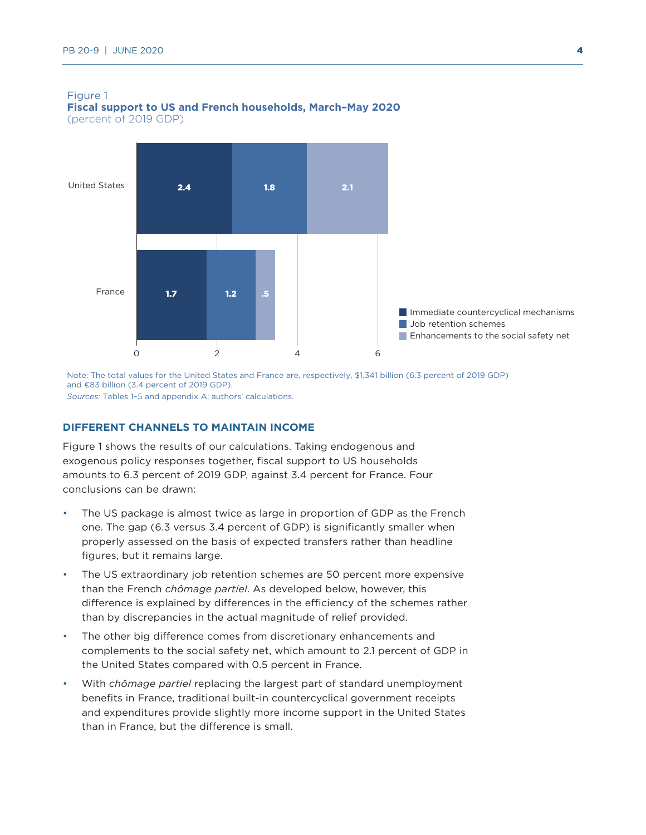

#### Figure 1 **Fiscal support to US and French households, March–May 2020** (percent of 2019 GDP)

Note: The total values for the United States and France are, respectively, \$1,341 billion (6.3 percent of 2019 GDP) and €83 billion (3.4 percent of 2019 GDP). *Sources:* Tables 1–5 and appendix A; authors' calculations.

# **DIFFERENT CHANNELS TO MAINTAIN INCOME**

Figure 1 shows the results of our calculations. Taking endogenous and exogenous policy responses together, fiscal support to US households amounts to 6.3 percent of 2019 GDP, against 3.4 percent for France. Four conclusions can be drawn:

- The US package is almost twice as large in proportion of GDP as the French one. The gap (6.3 versus 3.4 percent of GDP) is significantly smaller when properly assessed on the basis of expected transfers rather than headline figures, but it remains large.
- The US extraordinary job retention schemes are 50 percent more expensive than the French *chômage partiel*. As developed below, however, this difference is explained by differences in the efficiency of the schemes rather than by discrepancies in the actual magnitude of relief provided.
- The other big difference comes from discretionary enhancements and complements to the social safety net, which amount to 2.1 percent of GDP in the United States compared with 0.5 percent in France.
- With *chômage partiel* replacing the largest part of standard unemployment benefits in France, traditional built-in countercyclical government receipts and expenditures provide slightly more income support in the United States than in France, but the difference is small.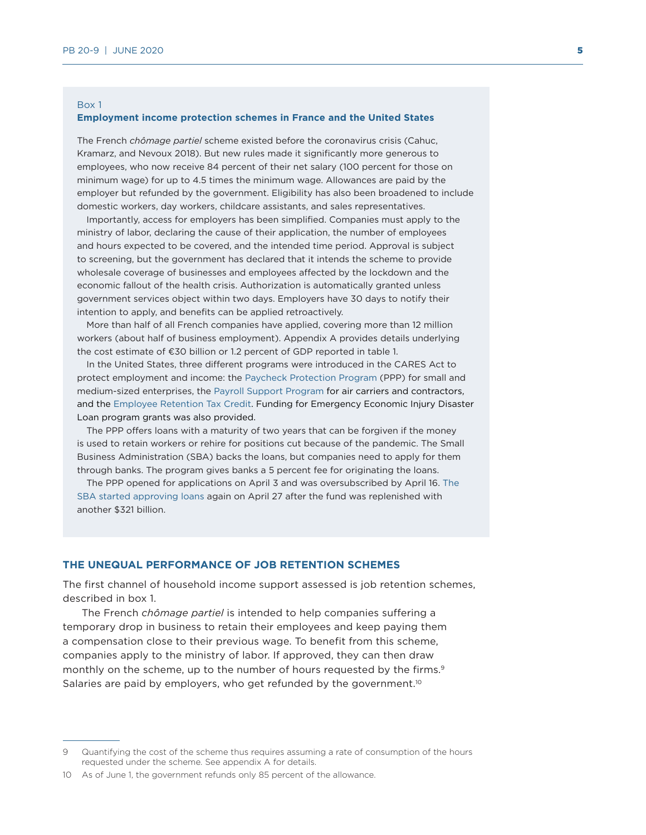#### Box 1

#### **Employment income protection schemes in France and the United States**

The French *chômage partiel* scheme existed before the coronavirus crisis (Cahuc, Kramarz, and Nevoux 2018). But new rules made it significantly more generous to employees, who now receive 84 percent of their net salary (100 percent for those on minimum wage) for up to 4.5 times the minimum wage. Allowances are paid by the employer but refunded by the government. Eligibility has also been broadened to include domestic workers, day workers, childcare assistants, and sales representatives.

Importantly, access for employers has been simplified. Companies must apply to the ministry of labor, declaring the cause of their application, the number of employees and hours expected to be covered, and the intended time period. Approval is subject to screening, but the government has declared that it intends the scheme to provide wholesale coverage of businesses and employees affected by the lockdown and the economic fallout of the health crisis. Authorization is automatically granted unless government services object within two days. Employers have 30 days to notify their intention to apply, and benefits can be applied retroactively.

More than half of all French companies have applied, covering more than 12 million workers (about half of business employment). Appendix A provides details underlying the cost estimate of €30 billion or 1.2 percent of GDP reported in table 1.

In the United States, three different programs were introduced in the CARES Act to protect employment and income: the [Paycheck Protection Program](https://www.sba.gov/funding-programs/loans/paycheck-protection-program) (PPP) for small and medium-sized enterprises, the [Payroll Support Program](https://home.treasury.gov/system/files/136/QandA-Payroll-Support-to-Air-Carriers-and-Contractors.pdf) for air carriers and contractors, and the [Employee Retention Tax Credit.](https://home.treasury.gov/system/files/136/Employee-Retention-Tax-Credit.pdf) Funding for Emergency Economic Injury Disaster Loan program grants was also provided.

The PPP offers loans with a maturity of two years that can be forgiven if the money is used to retain workers or rehire for positions cut because of the pandemic. The Small Business Administration (SBA) backs the loans, but companies need to apply for them through banks. The program gives banks a 5 percent fee for originating the loans.

The PPP opened for applications on April 3 and was oversubscribed by April 16. [The](https://www.sba.gov/funding-programs/loans/coronavirus-relief-options/paycheck-protection-program#section-header-0)  [SBA started approving loans](https://www.sba.gov/funding-programs/loans/coronavirus-relief-options/paycheck-protection-program#section-header-0) again on April 27 after the fund was replenished with another \$321 billion.

#### **THE UNEQUAL PERFORMANCE OF JOB RETENTION SCHEMES**

The first channel of household income support assessed is job retention schemes, described in box 1.

The French *chômage partiel* is intended to help companies suffering a temporary drop in business to retain their employees and keep paying them a compensation close to their previous wage. To benefit from this scheme, companies apply to the ministry of labor. If approved, they can then draw monthly on the scheme, up to the number of hours requested by the firms.<sup>9</sup> Salaries are paid by employers, who get refunded by the government.<sup>10</sup>

<sup>9</sup> Quantifying the cost of the scheme thus requires assuming a rate of consumption of the hours requested under the scheme. See appendix A for details.

<sup>10</sup> As of June 1, the government refunds only 85 percent of the allowance.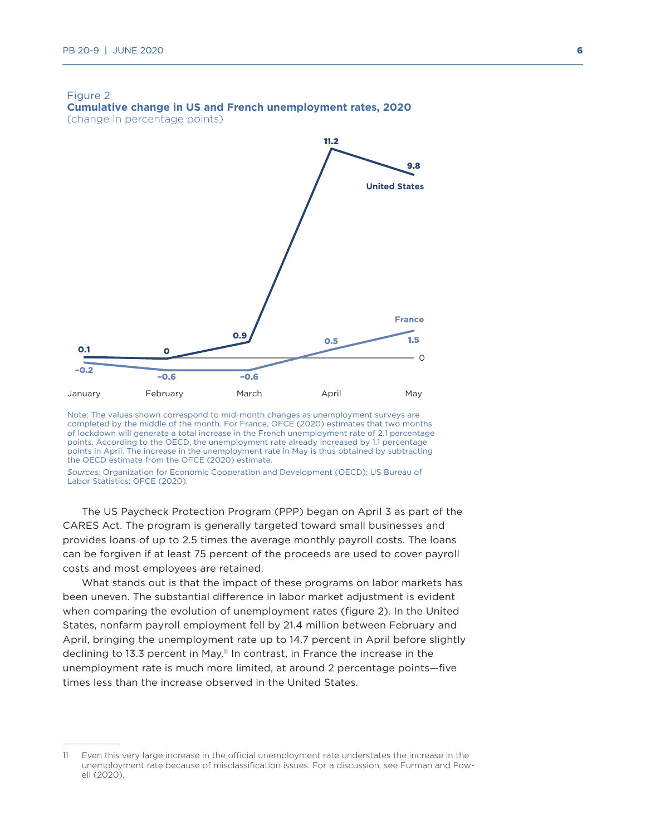

Note: The values shown correspond to mid-month changes as unemployment surveys are completed by the middle of the month. For France, OFCE (2020) estimates that two months of lockdown will generate a total increase in the French unemployment rate of 2.1 percentage points. According to the OECD, the unemployment rate already increased by 1.1 percentage points in April. The increase in the unemployment rate in May is thus obtained by subtracting the OECD estimate from the OFCE (2020) estimate.

*Sources:* Organization for Economic Cooperation and Development (OECD); US Bureau of Labor Statistics; OFCE (2020).

The US Paycheck Protection Program (PPP) began on April 3 as part of the CARES Act. The program is generally targeted toward small businesses and provides loans of up to 2.5 times the average monthly payroll costs. The loans can be forgiven if at least 75 percent of the proceeds are used to cover payroll costs and most employees are retained.

What stands out is that the impact of these programs on labor markets has been uneven. The substantial difference in labor market adjustment is evident when comparing the evolution of unemployment rates (figure 2). In the United States, nonfarm payroll employment fell by 21.4 million between February and April, bringing the unemployment rate up to 14.7 percent in April before slightly declining to 13.3 percent in May.<sup>11</sup> In contrast, in France the increase in the unemployment rate is much more limited, at around 2 percentage points—five times less than the increase observed in the United States.

<sup>11</sup> Even this very large increase in the official unemployment rate understates the increase in the unemployment rate because of misclassification issues. For a discussion, see Furman and Powell (2020).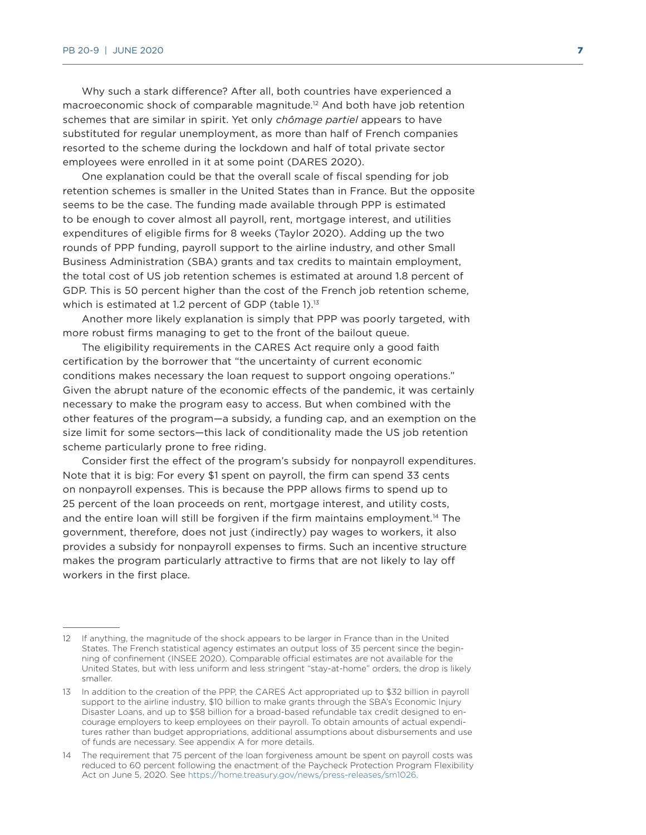Why such a stark difference? After all, both countries have experienced a macroeconomic shock of comparable magnitude.12 And both have job retention schemes that are similar in spirit. Yet only *chômage partiel* appears to have substituted for regular unemployment, as more than half of French companies resorted to the scheme during the lockdown and half of total private sector employees were enrolled in it at some point (DARES 2020).

One explanation could be that the overall scale of fiscal spending for job retention schemes is smaller in the United States than in France. But the opposite seems to be the case. The funding made available through PPP is estimated to be enough to cover almost all payroll, rent, mortgage interest, and utilities expenditures of eligible firms for 8 weeks (Taylor 2020). Adding up the two rounds of PPP funding, payroll support to the airline industry, and other Small Business Administration (SBA) grants and tax credits to maintain employment, the total cost of US job retention schemes is estimated at around 1.8 percent of GDP. This is 50 percent higher than the cost of the French job retention scheme, which is estimated at 1.2 percent of GDP (table 1).<sup>13</sup>

Another more likely explanation is simply that PPP was poorly targeted, with more robust firms managing to get to the front of the bailout queue.

The eligibility requirements in the CARES Act require only a good faith certification by the borrower that "the uncertainty of current economic conditions makes necessary the loan request to support ongoing operations." Given the abrupt nature of the economic effects of the pandemic, it was certainly necessary to make the program easy to access. But when combined with the other features of the program—a subsidy, a funding cap, and an exemption on the size limit for some sectors—this lack of conditionality made the US job retention scheme particularly prone to free riding.

Consider first the effect of the program's subsidy for nonpayroll expenditures. Note that it is big: For every \$1 spent on payroll, the firm can spend 33 cents on nonpayroll expenses. This is because the PPP allows firms to spend up to 25 percent of the loan proceeds on rent, mortgage interest, and utility costs, and the entire loan will still be forgiven if the firm maintains employment.<sup>14</sup> The government, therefore, does not just (indirectly) pay wages to workers, it also provides a subsidy for nonpayroll expenses to firms. Such an incentive structure makes the program particularly attractive to firms that are not likely to lay off workers in the first place.

<sup>12</sup> If anything, the magnitude of the shock appears to be larger in France than in the United States. The French statistical agency estimates an output loss of 35 percent since the beginning of confinement (INSEE 2020). Comparable official estimates are not available for the United States, but with less uniform and less stringent "stay-at-home" orders, the drop is likely smaller.

<sup>13</sup> In addition to the creation of the PPP, the CARES Act appropriated up to \$32 billion in payroll support to the airline industry, \$10 billion to make grants through the SBA's Economic Injury Disaster Loans, and up to \$58 billion for a broad-based refundable tax credit designed to encourage employers to keep employees on their payroll. To obtain amounts of actual expenditures rather than budget appropriations, additional assumptions about disbursements and use of funds are necessary. See appendix A for more details.

<sup>14</sup> The requirement that 75 percent of the loan forgiveness amount be spent on payroll costs was reduced to 60 percent following the enactment of the Paycheck Protection Program Flexibility Act on June 5, 2020. See [https://home.treasury.gov/news/press-releases/sm1026.](https://home.treasury.gov/news/press-releases/sm1026)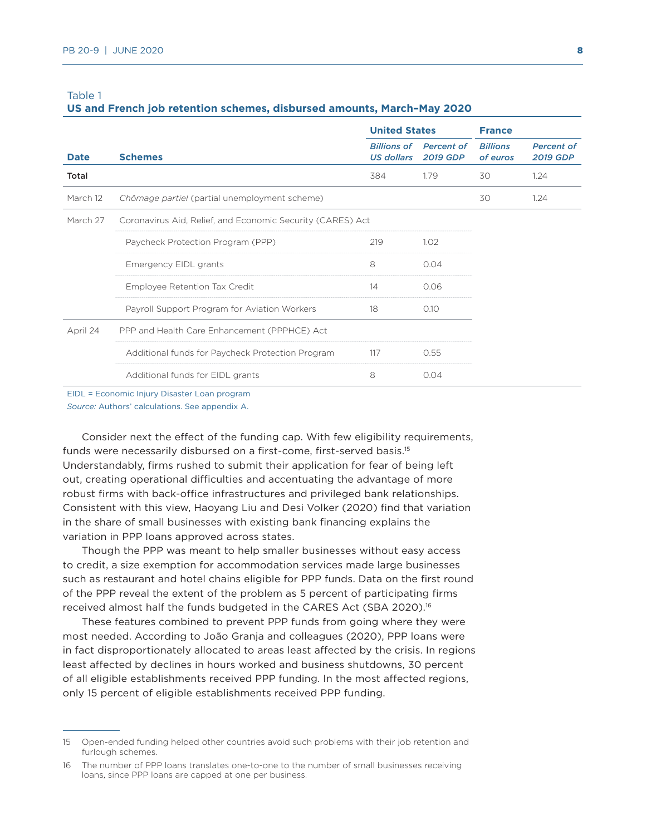#### **US and French job retention schemes, disbursed amounts, March–May 2020**

|             |                                                            | <b>United States</b>                    |                                      | <b>France</b>               |                                      |
|-------------|------------------------------------------------------------|-----------------------------------------|--------------------------------------|-----------------------------|--------------------------------------|
| <b>Date</b> | <b>Schemes</b>                                             | <b>Billions of</b><br><b>US dollars</b> | <b>Percent of</b><br><b>2019 GDP</b> | <b>Billions</b><br>of euros | <b>Percent of</b><br><b>2019 GDP</b> |
| Total       |                                                            | 384                                     | 1.79                                 | 30                          | 1.24                                 |
| March 12    | Chômage partiel (partial unemployment scheme)              |                                         |                                      | 30                          | 1.24                                 |
| March 27    | Coronavirus Aid, Relief, and Economic Security (CARES) Act |                                         |                                      |                             |                                      |
|             | Paycheck Protection Program (PPP)                          | 219                                     | 1.02                                 |                             |                                      |
|             | Emergency EIDL grants                                      | 8                                       | 0.04                                 |                             |                                      |
|             | Employee Retention Tax Credit                              | 14                                      | 0.06                                 |                             |                                      |
|             | Payroll Support Program for Aviation Workers               | 18                                      | 0.10                                 |                             |                                      |
| April 24    | PPP and Health Care Enhancement (PPPHCE) Act               |                                         |                                      |                             |                                      |
|             | Additional funds for Paycheck Protection Program           | 117                                     | 0.55                                 |                             |                                      |
|             | Additional funds for EIDL grants                           | 8                                       | 0.04                                 |                             |                                      |

EIDL = Economic Injury Disaster Loan program

*Source:* Authors' calculations. See appendix A.

Consider next the effect of the funding cap. With few eligibility requirements, funds were necessarily disbursed on a first-come, first-served basis.<sup>15</sup> Understandably, firms rushed to submit their application for fear of being left out, creating operational difficulties and accentuating the advantage of more robust firms with back-office infrastructures and privileged bank relationships. Consistent with this view, Haoyang Liu and Desi Volker (2020) find that variation in the share of small businesses with existing bank financing explains the variation in PPP loans approved across states.

Though the PPP was meant to help smaller businesses without easy access to credit, a size exemption for accommodation services made large businesses such as restaurant and hotel chains eligible for PPP funds. Data on the first round of the PPP reveal the extent of the problem as 5 percent of participating firms received almost half the funds budgeted in the CARES Act (SBA 2020).16

These features combined to prevent PPP funds from going where they were most needed. According to João Granja and colleagues (2020), PPP loans were in fact disproportionately allocated to areas least affected by the crisis. In regions least affected by declines in hours worked and business shutdowns, 30 percent of all eligible establishments received PPP funding. In the most affected regions, only 15 percent of eligible establishments received PPP funding.

<sup>15</sup> Open-ended funding helped other countries avoid such problems with their job retention and furlough schemes.

<sup>16</sup> The number of PPP loans translates one-to-one to the number of small businesses receiving loans, since PPP loans are capped at one per business.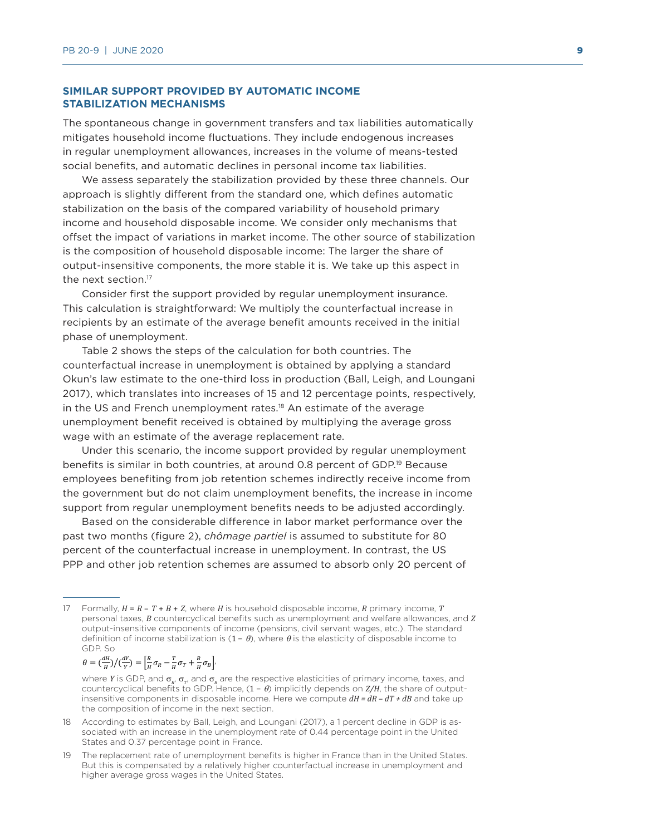# **SIMILAR SUPPORT PROVIDED BY AUTOMATIC INCOME STABILIZATION MECHANISMS**

The spontaneous change in government transfers and tax liabilities automatically mitigates household income fluctuations. They include endogenous increases in regular unemployment allowances, increases in the volume of means-tested social benefits, and automatic declines in personal income tax liabilities.

We assess separately the stabilization provided by these three channels. Our approach is slightly different from the standard one, which defines automatic stabilization on the basis of the compared variability of household primary income and household disposable income. We consider only mechanisms that offset the impact of variations in market income. The other source of stabilization is the composition of household disposable income: The larger the share of output-insensitive components, the more stable it is. We take up this aspect in the next section.<sup>17</sup>

Consider first the support provided by regular unemployment insurance. This calculation is straightforward: We multiply the counterfactual increase in recipients by an estimate of the average benefit amounts received in the initial phase of unemployment.

Table 2 shows the steps of the calculation for both countries. The counterfactual increase in unemployment is obtained by applying a standard Okun's law estimate to the one-third loss in production (Ball, Leigh, and Loungani 2017), which translates into increases of 15 and 12 percentage points, respectively, in the US and French unemployment rates.<sup>18</sup> An estimate of the average unemployment benefit received is obtained by multiplying the average gross wage with an estimate of the average replacement rate.

Under this scenario, the income support provided by regular unemployment benefits is similar in both countries, at around 0.8 percent of GDP.19 Because employees benefiting from job retention schemes indirectly receive income from the government but do not claim unemployment benefits, the increase in income support from regular unemployment benefits needs to be adjusted accordingly.

Based on the considerable difference in labor market performance over the past two months (figure 2), *chômage partiel* is assumed to substitute for 80 percent of the counterfactual increase in unemployment. In contrast, the US PPP and other job retention schemes are assumed to absorb only 20 percent of

$$
\theta = \left(\frac{dH}{H}\right) / \left(\frac{dY}{Y}\right) = \left[\frac{R}{H}\sigma_R - \frac{T}{H}\sigma_T + \frac{B}{H}\sigma_B\right],
$$

<sup>17</sup> Formally, *H* = *R* – *T* + *B* + *Z*, where *H* is household disposable income, *R* primary income, *T* personal taxes, *B* countercyclical benefits such as unemployment and welfare allowances, and *Z* output-insensitive components of income (pensions, civil servant wages, etc.). The standard definition of income stabilization is  $(1 - \theta)$ , where  $\theta$  is the elasticity of disposable income to GDP. So

where *Y* is GDP, and  $\sigma_R$ ,  $\sigma_T$ , and  $\sigma_R$  are the respective elasticities of primary income, taxes, and countercyclical benefits to GDP. Hence, (1 − <sup>θ</sup>) implicitly depends on *Z/H*, the share of outputinsensitive components in disposable income. Here we compute *dH = dR – dT + dB* and take up the composition of income in the next section.

<sup>18</sup> According to estimates by Ball, Leigh, and Loungani (2017), a 1 percent decline in GDP is associated with an increase in the unemployment rate of 0.44 percentage point in the United States and 0.37 percentage point in France.

<sup>19</sup> The replacement rate of unemployment benefits is higher in France than in the United States. But this is compensated by a relatively higher counterfactual increase in unemployment and higher average gross wages in the United States.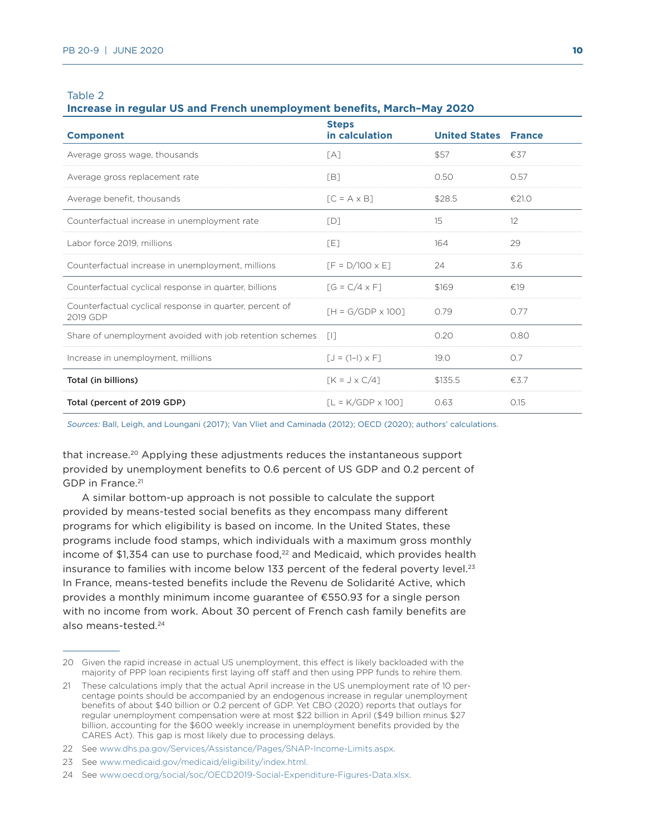#### **Increase in regular US and French unemployment benefits, March–May 2020**

| <b>Component</b>                                                    | <b>Steps</b><br>in calculation | <b>United States France</b> |       |
|---------------------------------------------------------------------|--------------------------------|-----------------------------|-------|
| Average gross wage, thousands                                       | [A]                            | \$57                        | €37   |
| Average gross replacement rate                                      | [B]                            | 0.50                        | 0.57  |
| Average benefit, thousands                                          | $IC = A \times B$              | \$28.5                      | €21.0 |
| Counterfactual increase in unemployment rate                        | [D]                            | 15                          | 12    |
| Labor force 2019, millions                                          | [E]                            | 164                         | 29    |
| Counterfactual increase in unemployment, millions                   | $[F = D/100 \times E]$         | 24                          | 3.6   |
| Counterfactual cyclical response in quarter, billions               | $IG = C/4 \times F1$           | \$169                       | £19   |
| Counterfactual cyclical response in quarter, percent of<br>2019 GDP | $[H = G/GDP \times 100]$       | 0.79                        | 0.77  |
| Share of unemployment avoided with job retention schemes            | - 611                          | 0.20                        | 0.80  |
| Increase in unemployment, millions                                  | $[J = (1-1) \times F]$         | 19.0                        | O.7   |
| Total (in billions)                                                 | $[K = J \times C/4]$           | \$135.5                     | €3.7  |
| Total (percent of 2019 GDP)                                         | $IL = K/GDP \times 1001$       | 0.63                        | 0.15  |

*Sources:* Ball, Leigh, and Loungani (2017); Van Vliet and Caminada (2012); OECD (2020); authors' calculations.

that increase.20 Applying these adjustments reduces the instantaneous support provided by unemployment benefits to 0.6 percent of US GDP and 0.2 percent of GDP in France.<sup>21</sup>

A similar bottom-up approach is not possible to calculate the support provided by means-tested social benefits as they encompass many different programs for which eligibility is based on income. In the United States, these programs include food stamps, which individuals with a maximum gross monthly income of \$1,354 can use to purchase food, $^{22}$  and Medicaid, which provides health insurance to families with income below 133 percent of the federal poverty level. $23$ In France, means-tested benefits include the Revenu de Solidarité Active, which provides a monthly minimum income guarantee of €550.93 for a single person with no income from work. About 30 percent of French cash family benefits are also means-tested.24

<sup>20</sup> Given the rapid increase in actual US unemployment, this effect is likely backloaded with the majority of PPP loan recipients first laying off staff and then using PPP funds to rehire them.

<sup>21</sup> These calculations imply that the actual April increase in the US unemployment rate of 10 percentage points should be accompanied by an endogenous increase in regular unemployment benefits of about \$40 billion or 0.2 percent of GDP. Yet CBO (2020) reports that outlays for regular unemployment compensation were at most \$22 billion in April (\$49 billion minus \$27 billion, accounting for the \$600 weekly increase in unemployment benefits provided by the CARES Act). This gap is most likely due to processing delays.

<sup>22</sup> See [www.dhs.pa.gov/Services/Assistance/Pages/SNAP-Income-Limits.aspx](http://www.dhs.pa.gov/Services/Assistance/Pages/SNAP-Income-Limits.aspx).

<sup>23</sup> See [www.medicaid.gov/medicaid/eligibility/index.html](http://www.medicaid.gov/medicaid/eligibility/index.html).

<sup>24</sup> See www.oecd.org/social/soc/OECD2019-Social-Expenditure-Figures-Data.xlsx.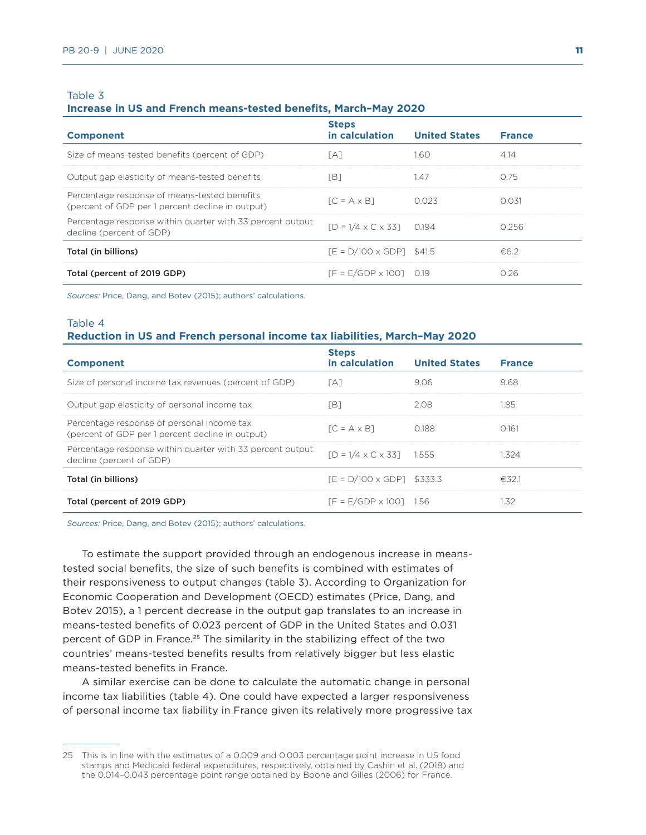#### **Increase in US and French means-tested benefits, March–May 2020**

| <b>Component</b>                                                                                 | <b>Steps</b><br>in calculation       | <b>United States</b> | <b>France</b> |
|--------------------------------------------------------------------------------------------------|--------------------------------------|----------------------|---------------|
| Size of means-tested benefits (percent of GDP)                                                   | [A]                                  | 1.60                 | 4.14          |
| Output gap elasticity of means-tested benefits                                                   | ΓB1                                  | 1.47                 | 0.75          |
| Percentage response of means-tested benefits<br>(percent of GDP per 1 percent decline in output) | $IC = A \times B1$                   | 0.023                | 0.031         |
| Percentage response within quarter with 33 percent output<br>decline (percent of GDP)            | $ID = 1/4 \times C \times 331$ 0.194 |                      | 0.256         |
| Total (in billions)                                                                              | $TE = D/100 \times GDP1$ \$41.5      |                      | €6.2          |
| Total (percent of 2019 GDP)                                                                      | $IF = E/GDP \times 10010.19$         |                      | 0.26          |

*Sources:* Price, Dang, and Botev (2015); authors' calculations.

# Table 4 **Reduction in US and French personal income tax liabilities, March–May 2020**

| <b>Component</b>                                                                               | <b>Steps</b><br>in calculation       | <b>United States</b> | <b>France</b> |
|------------------------------------------------------------------------------------------------|--------------------------------------|----------------------|---------------|
| Size of personal income tax revenues (percent of GDP)                                          | ГА1                                  | 9.06                 | 8.68          |
| Output gap elasticity of personal income tax                                                   | ΈB1                                  | 2.08                 | 1.85          |
| Percentage response of personal income tax<br>(percent of GDP per 1 percent decline in output) | $IC = A \times B1$                   | 0.188                | 0.161         |
| Percentage response within quarter with 33 percent output<br>decline (percent of GDP)          | $ID = 1/4 \times C \times 331$ 1.555 |                      | 1.324         |
| Total (in billions)                                                                            | $TE = D/100 \times GDP1$ \$333.3     |                      | €32.1         |
| Total (percent of 2019 GDP)                                                                    | $IF = E/GDP \times 1001$ 1.56        |                      | 1.32          |

*Sources:* Price, Dang, and Botev (2015); authors' calculations.

To estimate the support provided through an endogenous increase in meanstested social benefits, the size of such benefits is combined with estimates of their responsiveness to output changes (table 3). According to Organization for Economic Cooperation and Development (OECD) estimates (Price, Dang, and Botev 2015), a 1 percent decrease in the output gap translates to an increase in means-tested benefits of 0.023 percent of GDP in the United States and 0.031 percent of GDP in France.<sup>25</sup> The similarity in the stabilizing effect of the two countries' means-tested benefits results from relatively bigger but less elastic means-tested benefits in France.

A similar exercise can be done to calculate the automatic change in personal income tax liabilities (table 4). One could have expected a larger responsiveness of personal income tax liability in France given its relatively more progressive tax

<sup>25</sup> This is in line with the estimates of a 0.009 and 0.003 percentage point increase in US food stamps and Medicaid federal expenditures, respectively, obtained by Cashin et al. (2018) and the 0.014–0.043 percentage point range obtained by Boone and Gilles (2006) for France.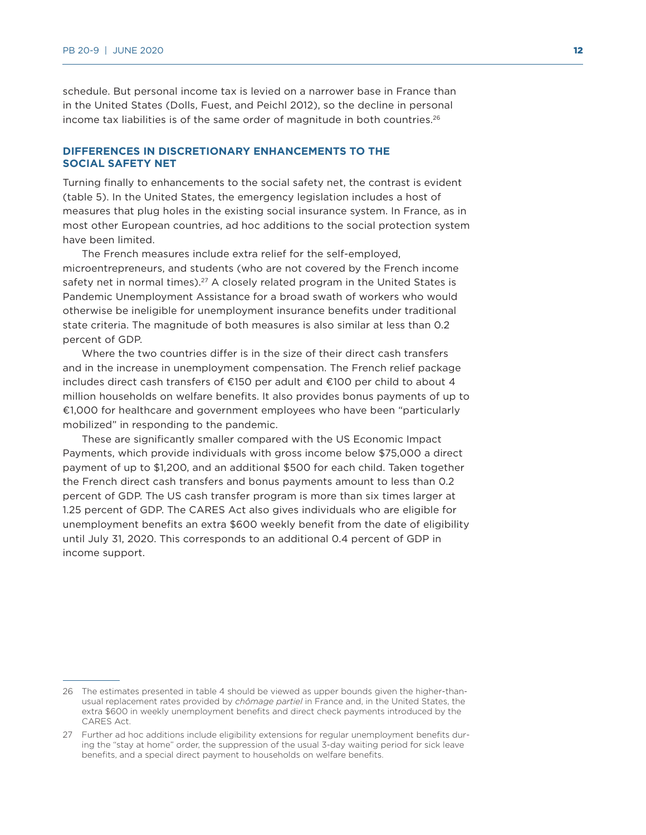schedule. But personal income tax is levied on a narrower base in France than in the United States (Dolls, Fuest, and Peichl 2012), so the decline in personal income tax liabilities is of the same order of magnitude in both countries.<sup>26</sup>

# **DIFFERENCES IN DISCRETIONARY ENHANCEMENTS TO THE SOCIAL SAFETY NET**

Turning finally to enhancements to the social safety net, the contrast is evident (table 5). In the United States, the emergency legislation includes a host of measures that plug holes in the existing social insurance system. In France, as in most other European countries, ad hoc additions to the social protection system have been limited.

The French measures include extra relief for the self-employed, microentrepreneurs, and students (who are not covered by the French income safety net in normal times).<sup>27</sup> A closely related program in the United States is Pandemic Unemployment Assistance for a broad swath of workers who would otherwise be ineligible for unemployment insurance benefits under traditional state criteria. The magnitude of both measures is also similar at less than 0.2 percent of GDP.

Where the two countries differ is in the size of their direct cash transfers and in the increase in unemployment compensation. The French relief package includes direct cash transfers of €150 per adult and €100 per child to about 4 million households on welfare benefits. It also provides bonus payments of up to €1,000 for healthcare and government employees who have been "particularly mobilized" in responding to the pandemic.

These are significantly smaller compared with the US Economic Impact Payments, which provide individuals with gross income below \$75,000 a direct payment of up to \$1,200, and an additional \$500 for each child. Taken together the French direct cash transfers and bonus payments amount to less than 0.2 percent of GDP. The US cash transfer program is more than six times larger at 1.25 percent of GDP. The CARES Act also gives individuals who are eligible for unemployment benefits an extra \$600 weekly benefit from the date of eligibility until July 31, 2020. This corresponds to an additional 0.4 percent of GDP in income support.

<sup>26</sup> The estimates presented in table 4 should be viewed as upper bounds given the higher-thanusual replacement rates provided by *chômage partiel* in France and, in the United States, the extra \$600 in weekly unemployment benefits and direct check payments introduced by the CARES Act.

<sup>27</sup> Further ad hoc additions include eligibility extensions for regular unemployment benefits during the "stay at home" order, the suppression of the usual 3-day waiting period for sick leave benefits, and a special direct payment to households on welfare benefits.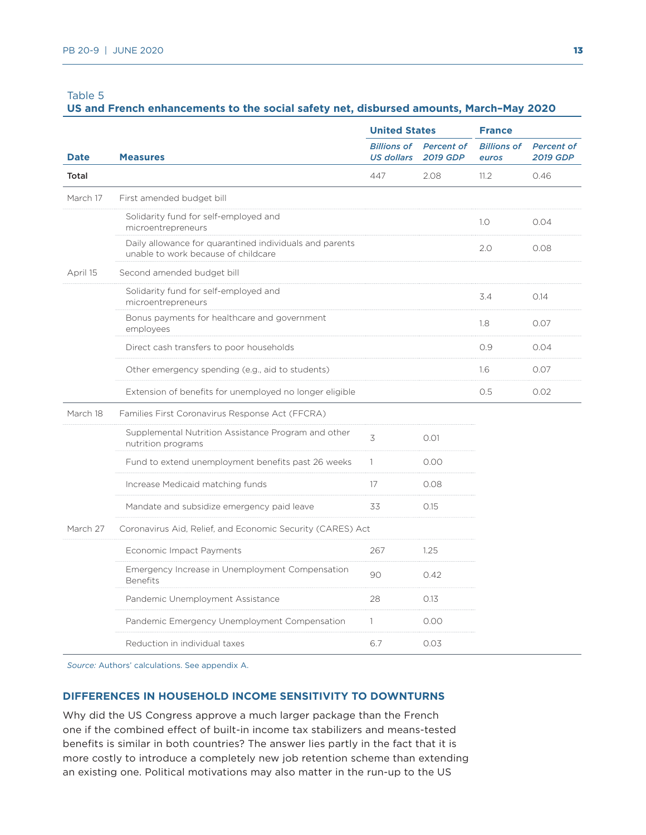# **US and French enhancements to the social safety net, disbursed amounts, March–May 2020**

|             |                                                                                                | <b>United States</b>                    |                                      | <b>France</b>               |                                      |  |
|-------------|------------------------------------------------------------------------------------------------|-----------------------------------------|--------------------------------------|-----------------------------|--------------------------------------|--|
| <b>Date</b> | <b>Measures</b>                                                                                | <b>Billions of</b><br><b>US dollars</b> | <b>Percent of</b><br><b>2019 GDP</b> | <b>Billions of</b><br>euros | <b>Percent of</b><br><b>2019 GDP</b> |  |
| Total       |                                                                                                | 447                                     | 2.08                                 | 11.2                        | 0.46                                 |  |
| March 17    | First amended budget bill                                                                      |                                         |                                      |                             |                                      |  |
|             | Solidarity fund for self-employed and<br>microentrepreneurs                                    |                                         |                                      | 1.0                         | 0.04                                 |  |
|             | Daily allowance for quarantined individuals and parents<br>unable to work because of childcare |                                         |                                      | 2.0                         | 0.08                                 |  |
| April 15    | Second amended budget bill                                                                     |                                         |                                      |                             |                                      |  |
|             | Solidarity fund for self-employed and<br>microentrepreneurs                                    |                                         |                                      | 3.4                         | 0.14                                 |  |
|             | Bonus payments for healthcare and government<br>employees                                      |                                         |                                      | 1.8                         | 0.07                                 |  |
|             | Direct cash transfers to poor households                                                       |                                         |                                      | 0.9                         | 0.04                                 |  |
|             | Other emergency spending (e.g., aid to students)                                               |                                         |                                      | 1.6                         | 0.07                                 |  |
|             | Extension of benefits for unemployed no longer eligible                                        |                                         |                                      | 0.5                         | 0.02                                 |  |
| March 18    | Families First Coronavirus Response Act (FFCRA)                                                |                                         |                                      |                             |                                      |  |
|             | Supplemental Nutrition Assistance Program and other<br>nutrition programs                      | 3                                       | 0.01                                 |                             |                                      |  |
|             | Fund to extend unemployment benefits past 26 weeks                                             | $\mathbb{1}$                            | 0.00                                 |                             |                                      |  |
|             | Increase Medicaid matching funds                                                               | 17                                      | 0.08                                 |                             |                                      |  |
|             | Mandate and subsidize emergency paid leave                                                     | 33                                      | 0.15                                 |                             |                                      |  |
| March 27    | Coronavirus Aid, Relief, and Economic Security (CARES) Act                                     |                                         |                                      |                             |                                      |  |
|             | Economic Impact Payments                                                                       | 267                                     | 1.25                                 |                             |                                      |  |
|             | Emergency Increase in Unemployment Compensation<br><b>Benefits</b>                             | 90                                      | 0.42                                 |                             |                                      |  |
|             | Pandemic Unemployment Assistance                                                               | 28                                      | 0.13                                 |                             |                                      |  |
|             | Pandemic Emergency Unemployment Compensation                                                   | $\mathbf{1}$                            | 0.00                                 |                             |                                      |  |
|             | Reduction in individual taxes                                                                  | 6.7                                     | 0.03                                 |                             |                                      |  |

*Source:* Authors' calculations. See appendix A.

### **DIFFERENCES IN HOUSEHOLD INCOME SENSITIVITY TO DOWNTURNS**

Why did the US Congress approve a much larger package than the French one if the combined effect of built-in income tax stabilizers and means-tested benefits is similar in both countries? The answer lies partly in the fact that it is more costly to introduce a completely new job retention scheme than extending an existing one. Political motivations may also matter in the run-up to the US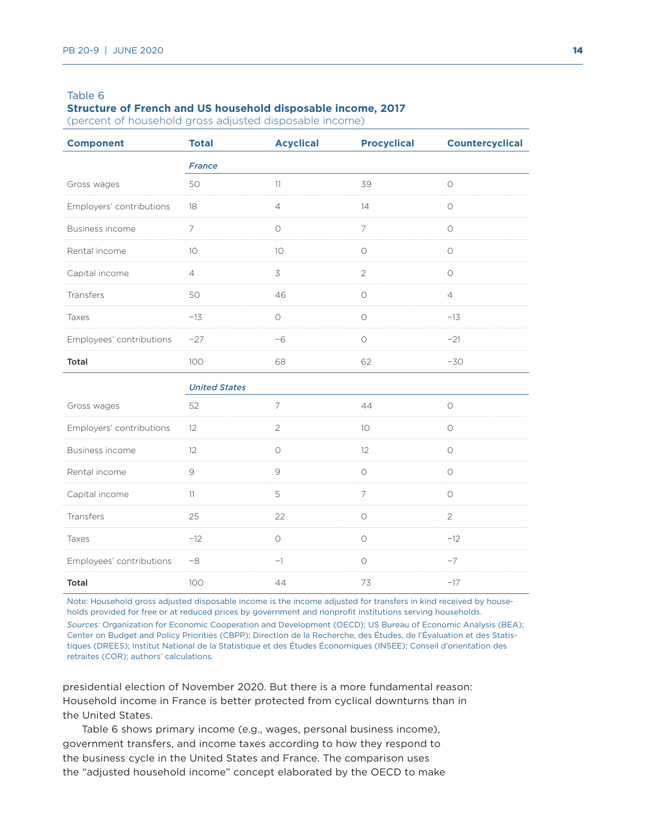#### **Structure of French and US household disposable income, 2017**

(percent of household gross adjusted disposable income)

| <b>Component</b>         | <b>Total</b>         | <b>Acyclical</b> | <b>Procyclical</b> | <b>Countercyclical</b> |  |
|--------------------------|----------------------|------------------|--------------------|------------------------|--|
|                          | <b>France</b>        |                  |                    |                        |  |
| Gross wages              | 50                   | 11               | 39                 | $\circ$                |  |
| Employers' contributions | 18                   | $\overline{4}$   | 14                 | $\circ$                |  |
| Business income          | $\overline{7}$       | $\circ$          | $\overline{7}$     | $\circ$                |  |
| Rental income            | 10                   | 10               | $\circ$            | $\circ$                |  |
| Capital income           | $\overline{4}$       | 3                | $\overline{2}$     | $\circ$                |  |
| Transfers                | 50                   | 46               | $\circ$            | $\overline{4}$         |  |
| Taxes                    | $-13$                | $\bigcirc$       | $\circ$            | $-13$                  |  |
| Employees' contributions | $-27$                | $-6$             | $\circ$            | $-21$                  |  |
| Total                    | 100                  | 68               | 62                 | $-30$                  |  |
|                          | <b>United States</b> |                  |                    |                        |  |
| Gross wages              | 52                   | 7                | 44                 | $\circlearrowright$    |  |
| Employers' contributions | 12                   | $\overline{2}$   | 10                 | $\circ$                |  |
| Business income          | 12                   | $\circ$          | 12                 | $\circ$                |  |
| Rental income            | $\mathcal{G}$        | 9                | $\circ$            | $\circ$                |  |
| Capital income           | 11                   | 5                | 7                  | $\circ$                |  |
| Transfers                | 25                   | 22               | $\circ$            | 2                      |  |
| Taxes                    | $-12$                | $\circ$          | $\circ$            | $-12$                  |  |
| Employees' contributions | $-8$                 | $-1$             | $\circ$            | $-7$                   |  |
| Total                    | 100                  | 44               | 73                 | $-17$                  |  |

Note: Household gross adjusted disposable income is the income adjusted for transfers in kind received by households provided for free or at reduced prices by government and nonprofit institutions serving households.

*Sources:* Organization for Economic Cooperation and Development (OECD); US Bureau of Economic Analysis (BEA); Center on Budget and Policy Priorities (CBPP); Direction de la Recherche, des Études, de l'Évaluation et des Statistiques (DREES); Institut National de la Statistique et des Études Économiques (INSEE); Conseil d'orientation des retraites (COR); authors' calculations.

presidential election of November 2020. But there is a more fundamental reason: Household income in France is better protected from cyclical downturns than in the United States.

Table 6 shows primary income (e.g., wages, personal business income), government transfers, and income taxes according to how they respond to the business cycle in the United States and France. The comparison uses the "adjusted household income" concept elaborated by the OECD to make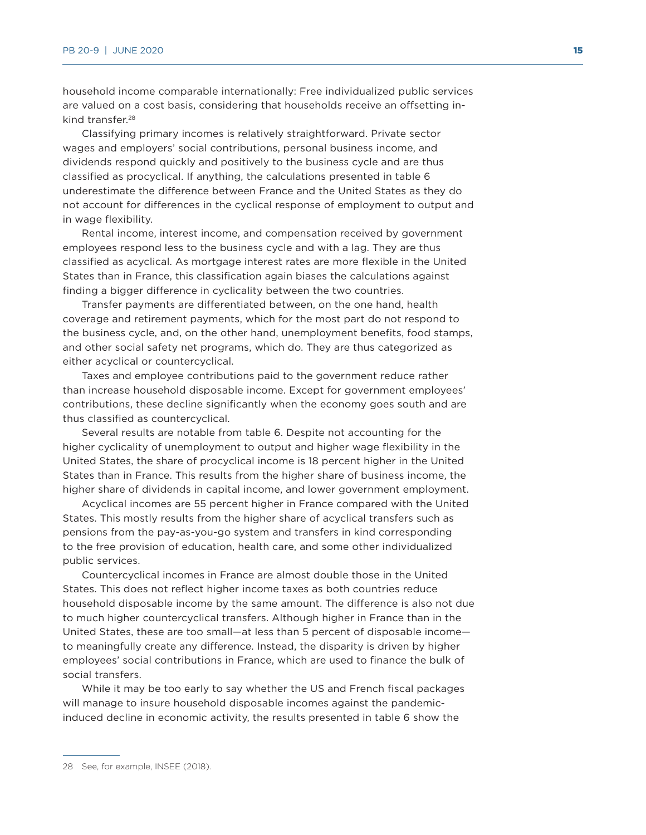household income comparable internationally: Free individualized public services are valued on a cost basis, considering that households receive an offsetting inkind transfer.<sup>28</sup>

Classifying primary incomes is relatively straightforward. Private sector wages and employers' social contributions, personal business income, and dividends respond quickly and positively to the business cycle and are thus classified as procyclical. If anything, the calculations presented in table 6 underestimate the difference between France and the United States as they do not account for differences in the cyclical response of employment to output and in wage flexibility.

Rental income, interest income, and compensation received by government employees respond less to the business cycle and with a lag. They are thus classified as acyclical. As mortgage interest rates are more flexible in the United States than in France, this classification again biases the calculations against finding a bigger difference in cyclicality between the two countries.

Transfer payments are differentiated between, on the one hand, health coverage and retirement payments, which for the most part do not respond to the business cycle, and, on the other hand, unemployment benefits, food stamps, and other social safety net programs, which do. They are thus categorized as either acyclical or countercyclical.

Taxes and employee contributions paid to the government reduce rather than increase household disposable income. Except for government employees' contributions, these decline significantly when the economy goes south and are thus classified as countercyclical.

Several results are notable from table 6. Despite not accounting for the higher cyclicality of unemployment to output and higher wage flexibility in the United States, the share of procyclical income is 18 percent higher in the United States than in France. This results from the higher share of business income, the higher share of dividends in capital income, and lower government employment.

Acyclical incomes are 55 percent higher in France compared with the United States. This mostly results from the higher share of acyclical transfers such as pensions from the pay-as-you-go system and transfers in kind corresponding to the free provision of education, health care, and some other individualized public services.

Countercyclical incomes in France are almost double those in the United States. This does not reflect higher income taxes as both countries reduce household disposable income by the same amount. The difference is also not due to much higher countercyclical transfers. Although higher in France than in the United States, these are too small—at less than 5 percent of disposable income to meaningfully create any difference. Instead, the disparity is driven by higher employees' social contributions in France, which are used to finance the bulk of social transfers.

While it may be too early to say whether the US and French fiscal packages will manage to insure household disposable incomes against the pandemicinduced decline in economic activity, the results presented in table 6 show the

<sup>28</sup> See, for example, INSEE (2018).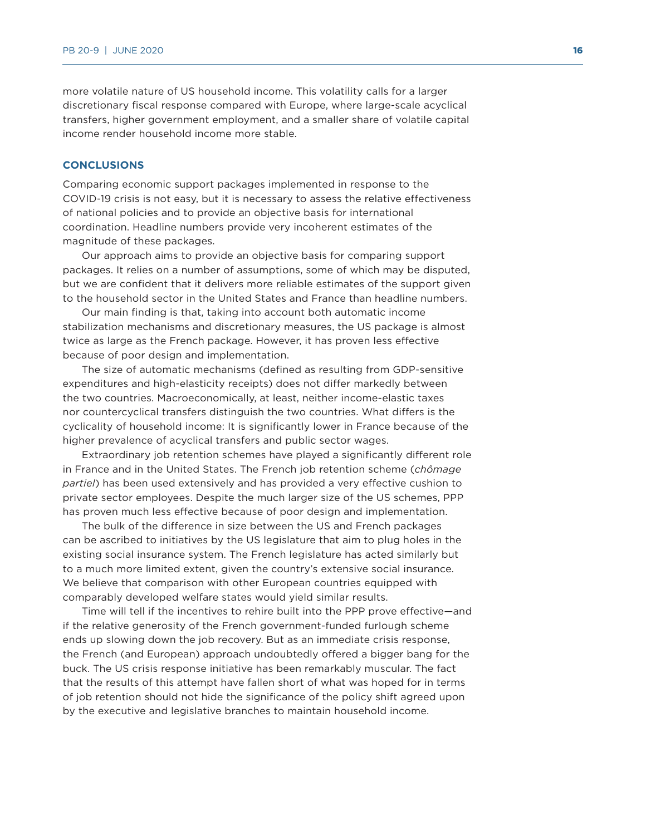more volatile nature of US household income. This volatility calls for a larger discretionary fiscal response compared with Europe, where large-scale acyclical transfers, higher government employment, and a smaller share of volatile capital income render household income more stable.

# **CONCLUSIONS**

Comparing economic support packages implemented in response to the COVID-19 crisis is not easy, but it is necessary to assess the relative effectiveness of national policies and to provide an objective basis for international coordination. Headline numbers provide very incoherent estimates of the magnitude of these packages.

Our approach aims to provide an objective basis for comparing support packages. It relies on a number of assumptions, some of which may be disputed, but we are confident that it delivers more reliable estimates of the support given to the household sector in the United States and France than headline numbers.

Our main finding is that, taking into account both automatic income stabilization mechanisms and discretionary measures, the US package is almost twice as large as the French package. However, it has proven less effective because of poor design and implementation.

The size of automatic mechanisms (defined as resulting from GDP-sensitive expenditures and high-elasticity receipts) does not differ markedly between the two countries. Macroeconomically, at least, neither income-elastic taxes nor countercyclical transfers distinguish the two countries. What differs is the cyclicality of household income: It is significantly lower in France because of the higher prevalence of acyclical transfers and public sector wages.

Extraordinary job retention schemes have played a significantly different role in France and in the United States. The French job retention scheme (*chômage partiel*) has been used extensively and has provided a very effective cushion to private sector employees. Despite the much larger size of the US schemes, PPP has proven much less effective because of poor design and implementation.

The bulk of the difference in size between the US and French packages can be ascribed to initiatives by the US legislature that aim to plug holes in the existing social insurance system. The French legislature has acted similarly but to a much more limited extent, given the country's extensive social insurance. We believe that comparison with other European countries equipped with comparably developed welfare states would yield similar results.

Time will tell if the incentives to rehire built into the PPP prove effective—and if the relative generosity of the French government-funded furlough scheme ends up slowing down the job recovery. But as an immediate crisis response, the French (and European) approach undoubtedly offered a bigger bang for the buck. The US crisis response initiative has been remarkably muscular. The fact that the results of this attempt have fallen short of what was hoped for in terms of job retention should not hide the significance of the policy shift agreed upon by the executive and legislative branches to maintain household income.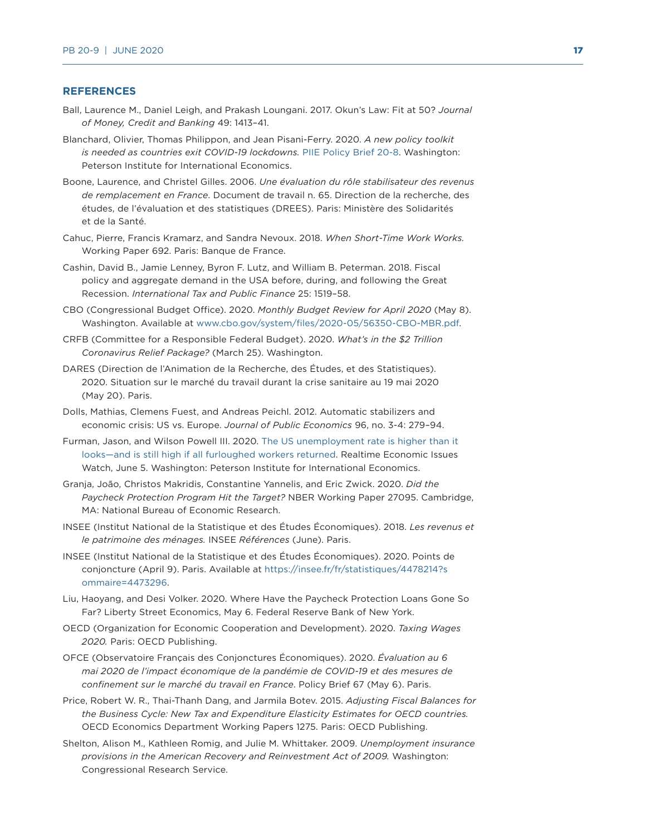#### **REFERENCES**

- Ball, Laurence M., Daniel Leigh, and Prakash Loungani. 2017. Okun's Law: Fit at 50? *Journal of Money, Credit and Banking* 49: 1413–41.
- Blanchard, Olivier, Thomas Philippon, and Jean Pisani-Ferry. 2020. *A new policy toolkit is needed as countries exit COVID-19 lockdowns.* [PIIE Policy Brief 20-8](https://www.piie.com/publications/policy-briefs/new-policy-toolkit-needed-countries-exit-covid-19-lockdowns). Washington: Peterson Institute for International Economics.
- Boone, Laurence, and Christel Gilles. 2006. *Une évaluation du rôle stabilisateur des revenus de remplacement en France*. Document de travail n. 65. Direction de la recherche, des études, de l'évaluation et des statistiques (DREES). Paris: Ministère des Solidarités et de la Santé.
- Cahuc, Pierre, Francis Kramarz, and Sandra Nevoux. 2018. *When Short-Time Work Works.*  Working Paper 692. Paris: Banque de France.
- Cashin, David B., Jamie Lenney, Byron F. Lutz, and William B. Peterman. 2018. Fiscal policy and aggregate demand in the USA before, during, and following the Great Recession. *International Tax and Public Finance* 25: 1519–58.
- CBO (Congressional Budget Office). 2020. *Monthly Budget Review for April 2020* (May 8). Washington. Available at [www.cbo.gov/system/files/2020-05/56350-CBO-MBR.pdf](http://www.cbo.gov/system/files/2020-05/56350-CBO-MBR.pdf).
- CRFB (Committee for a Responsible Federal Budget). 2020. *What's in the \$2 Trillion Coronavirus Relief Package?* (March 25). Washington.
- DARES (Direction de l'Animation de la Recherche, des Études, et des Statistiques). 2020. Situation sur le marché du travail durant la crise sanitaire au 19 mai 2020 (May 20). Paris.
- Dolls, Mathias, Clemens Fuest, and Andreas Peichl. 2012. Automatic stabilizers and economic crisis: US vs. Europe. *Journal of Public Economics* 96, no. 3-4: 279–94.
- Furman, Jason, and Wilson Powell III. 2020. [The US unemployment rate is higher than it](https://www.piie.com/blogs/realtime-economic-issues-watch/us-unemployment-rate-higher-it-looks-and-still-high-if-all)  [looks—and is still high if all furloughed workers returned](https://www.piie.com/blogs/realtime-economic-issues-watch/us-unemployment-rate-higher-it-looks-and-still-high-if-all). Realtime Economic Issues Watch, June 5. Washington: Peterson Institute for International Economics.
- Granja, João, Christos Makridis, Constantine Yannelis, and Eric Zwick. 2020. *Did the Paycheck Protection Program Hit the Target?* NBER Working Paper 27095. Cambridge, MA: National Bureau of Economic Research.
- INSEE (Institut National de la Statistique et des Études Économiques). 2018. *Les revenus et le patrimoine des ménages.* INSEE *Références* (June). Paris.
- INSEE (Institut National de la Statistique et des Études Économiques). 2020. Points de conjoncture (April 9). Paris. Available at [https://insee.fr/fr/statistiques/4478214?s](https://insee.fr/fr/statistiques/4478214?sommaire=4473296) [ommaire=4473296](https://insee.fr/fr/statistiques/4478214?sommaire=4473296).
- Liu, Haoyang, and Desi Volker. 2020. Where Have the Paycheck Protection Loans Gone So Far? Liberty Street Economics, May 6. Federal Reserve Bank of New York.
- OECD (Organization for Economic Cooperation and Development). 2020. *Taxing Wages 2020.* Paris: OECD Publishing.
- OFCE (Observatoire Français des Conjonctures Économiques). 2020. *Évaluation au 6 mai 2020 de l'impact économique de la pandémie de COVID-19 et des mesures de confinement sur le marché du travail en France*. Policy Brief 67 (May 6). Paris.
- Price, Robert W. R., Thai-Thanh Dang, and Jarmila Botev. 2015. *Adjusting Fiscal Balances for the Business Cycle: New Tax and Expenditure Elasticity Estimates for OECD countries.*  OECD Economics Department Working Papers 1275. Paris: OECD Publishing.
- Shelton, Alison M., Kathleen Romig, and Julie M. Whittaker. 2009. *Unemployment insurance provisions in the American Recovery and Reinvestment Act of 2009.* Washington: Congressional Research Service.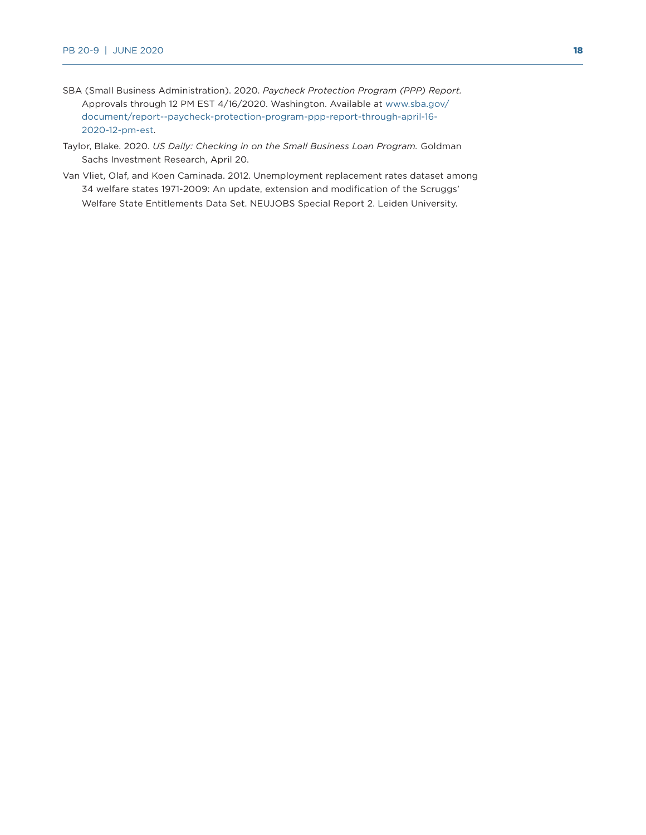- SBA (Small Business Administration). 2020. *Paycheck Protection Program (PPP) Report.*  Approvals through 12 PM EST 4/16/2020. Washington. Available at [www.sba.gov/](http://www.sba.gov/document/report--paycheck-protection-program-ppp-report-through-april-16-2020-12-pm-est) [document/report--paycheck-protection-program-ppp-report-through-april-16-](http://www.sba.gov/document/report--paycheck-protection-program-ppp-report-through-april-16-2020-12-pm-est) [2020-12-pm-est.](http://www.sba.gov/document/report--paycheck-protection-program-ppp-report-through-april-16-2020-12-pm-est)
- Taylor, Blake. 2020. *US Daily: Checking in on the Small Business Loan Program.* Goldman Sachs Investment Research, April 20.
- Van Vliet, Olaf, and Koen Caminada. 2012. Unemployment replacement rates dataset among 34 welfare states 1971-2009: An update, extension and modification of the Scruggs' Welfare State Entitlements Data Set. NEUJOBS Special Report 2. Leiden University.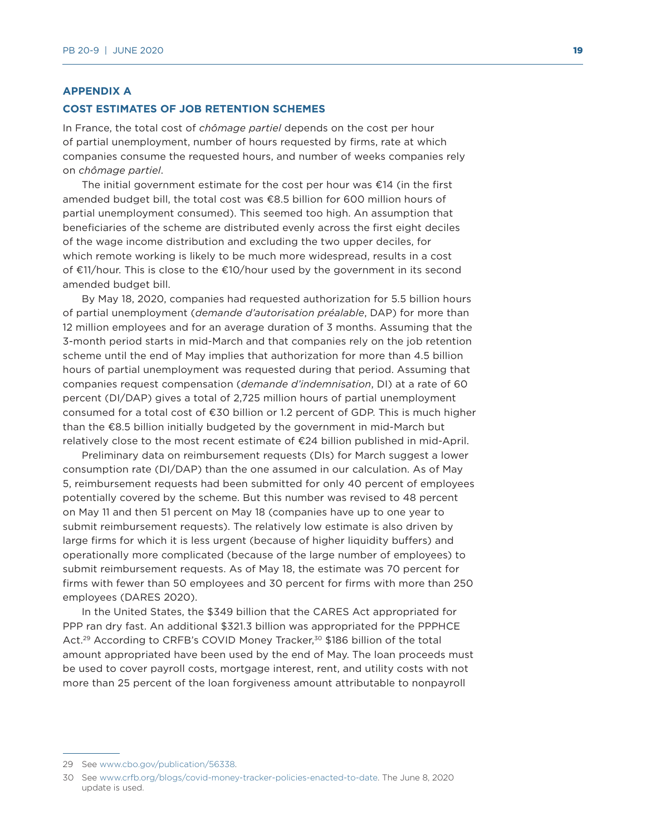#### **APPENDIX A**

#### **COST ESTIMATES OF JOB RETENTION SCHEMES**

In France, the total cost of *chômage partiel* depends on the cost per hour of partial unemployment, number of hours requested by firms, rate at which companies consume the requested hours, and number of weeks companies rely on *chômage partiel*.

The initial government estimate for the cost per hour was €14 (in the first amended budget bill, the total cost was €8.5 billion for 600 million hours of partial unemployment consumed). This seemed too high. An assumption that beneficiaries of the scheme are distributed evenly across the first eight deciles of the wage income distribution and excluding the two upper deciles, for which remote working is likely to be much more widespread, results in a cost of €11/hour. This is close to the €10/hour used by the government in its second amended budget bill.

By May 18, 2020, companies had requested authorization for 5.5 billion hours of partial unemployment (*demande d'autorisation préalable*, DAP) for more than 12 million employees and for an average duration of 3 months. Assuming that the 3-month period starts in mid-March and that companies rely on the job retention scheme until the end of May implies that authorization for more than 4.5 billion hours of partial unemployment was requested during that period. Assuming that companies request compensation (*demande d'indemnisation*, DI) at a rate of 60 percent (DI/DAP) gives a total of 2,725 million hours of partial unemployment consumed for a total cost of €30 billion or 1.2 percent of GDP. This is much higher than the €8.5 billion initially budgeted by the government in mid-March but relatively close to the most recent estimate of €24 billion published in mid-April.

Preliminary data on reimbursement requests (DIs) for March suggest a lower consumption rate (DI/DAP) than the one assumed in our calculation. As of May 5, reimbursement requests had been submitted for only 40 percent of employees potentially covered by the scheme. But this number was revised to 48 percent on May 11 and then 51 percent on May 18 (companies have up to one year to submit reimbursement requests). The relatively low estimate is also driven by large firms for which it is less urgent (because of higher liquidity buffers) and operationally more complicated (because of the large number of employees) to submit reimbursement requests. As of May 18, the estimate was 70 percent for firms with fewer than 50 employees and 30 percent for firms with more than 250 employees (DARES 2020).

In the United States, the \$349 billion that the CARES Act appropriated for PPP ran dry fast. An additional \$321.3 billion was appropriated for the PPPHCE Act.<sup>29</sup> According to CRFB's COVID Money Tracker,<sup>30</sup> \$186 billion of the total amount appropriated have been used by the end of May. The loan proceeds must be used to cover payroll costs, mortgage interest, rent, and utility costs with not more than 25 percent of the loan forgiveness amount attributable to nonpayroll

<sup>29</sup> See [www.cbo.gov/publication/56338.](http://www.cbo.gov/publication/56338)

<sup>30</sup> See [www.crfb.org/blogs/covid-money-tracker-policies-enacted-to-date](http://www.crfb.org/blogs/covid-money-tracker-policies-enacted-to-date). The June 8, 2020 update is used.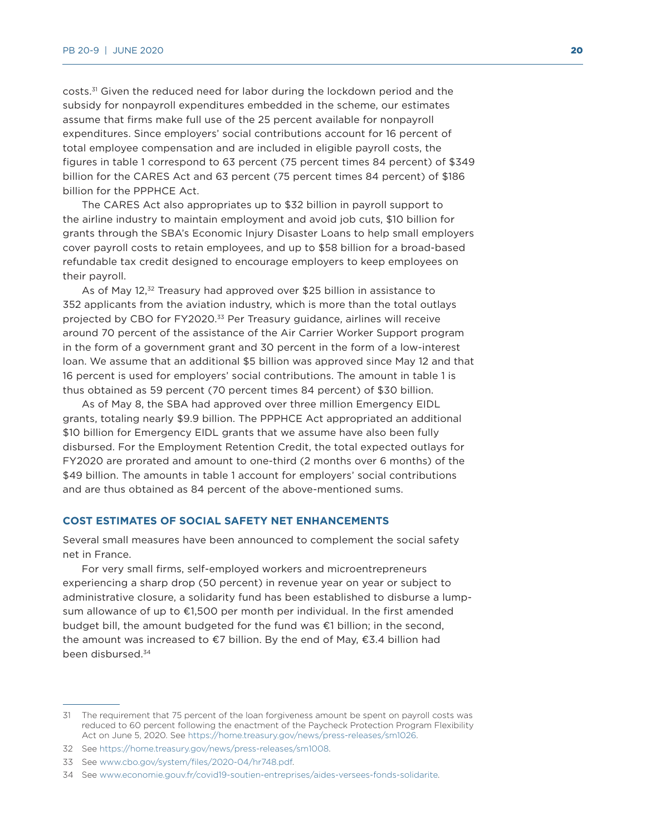costs.<sup>31</sup> Given the reduced need for labor during the lockdown period and the subsidy for nonpayroll expenditures embedded in the scheme, our estimates assume that firms make full use of the 25 percent available for nonpayroll expenditures. Since employers' social contributions account for 16 percent of total employee compensation and are included in eligible payroll costs, the figures in table 1 correspond to 63 percent (75 percent times 84 percent) of \$349 billion for the CARES Act and 63 percent (75 percent times 84 percent) of \$186 billion for the PPPHCE Act.

The CARES Act also appropriates up to \$32 billion in payroll support to the airline industry to maintain employment and avoid job cuts, \$10 billion for grants through the SBA's Economic Injury Disaster Loans to help small employers cover payroll costs to retain employees, and up to \$58 billion for a broad-based refundable tax credit designed to encourage employers to keep employees on their payroll.

As of May 12,<sup>32</sup> Treasury had approved over \$25 billion in assistance to 352 applicants from the aviation industry, which is more than the total outlays projected by CBO for FY2020.33 Per Treasury guidance, airlines will receive around 70 percent of the assistance of the Air Carrier Worker Support program in the form of a government grant and 30 percent in the form of a low-interest loan. We assume that an additional \$5 billion was approved since May 12 and that 16 percent is used for employers' social contributions. The amount in table 1 is thus obtained as 59 percent (70 percent times 84 percent) of \$30 billion.

As of May 8, the SBA had approved over three million Emergency EIDL grants, totaling nearly \$9.9 billion. The PPPHCE Act appropriated an additional \$10 billion for Emergency EIDL grants that we assume have also been fully disbursed. For the Employment Retention Credit, the total expected outlays for FY2020 are prorated and amount to one-third (2 months over 6 months) of the \$49 billion. The amounts in table 1 account for employers' social contributions and are thus obtained as 84 percent of the above-mentioned sums.

#### **COST ESTIMATES OF SOCIAL SAFETY NET ENHANCEMENTS**

Several small measures have been announced to complement the social safety net in France.

For very small firms, self-employed workers and microentrepreneurs experiencing a sharp drop (50 percent) in revenue year on year or subject to administrative closure, a solidarity fund has been established to disburse a lumpsum allowance of up to  $\epsilon$ 1,500 per month per individual. In the first amended budget bill, the amount budgeted for the fund was €1 billion; in the second, the amount was increased to €7 billion. By the end of May, €3.4 billion had been disbursed.34

<sup>31</sup> The requirement that 75 percent of the loan forgiveness amount be spent on payroll costs was reduced to 60 percent following the enactment of the Paycheck Protection Program Flexibility Act on June 5, 2020. See [https://home.treasury.gov/news/press-releases/sm1026.](https://home.treasury.gov/news/press-releases/sm1026)

<sup>32</sup> See [https://home.treasury.gov/news/press-releases/sm1008.](https://home.treasury.gov/news/press-releases/sm1008)

<sup>33</sup> See [www.cbo.gov/system/files/2020-04/hr748.pdf](http://www.cbo.gov/system/files/2020-04/hr748.pdf).

<sup>34</sup> See [www.economie.gouv.fr/covid19-soutien-entreprises/aides-versees-fonds-solidarite](http://www.economie.gouv.fr/covid19-soutien-entreprises/aides-versees-fonds-solidarite).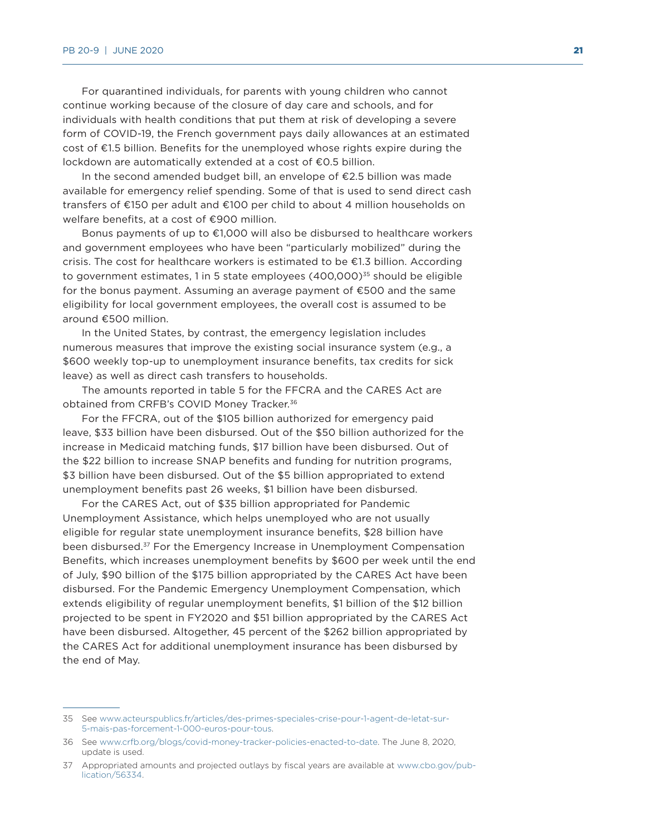For quarantined individuals, for parents with young children who cannot continue working because of the closure of day care and schools, and for individuals with health conditions that put them at risk of developing a severe form of COVID-19, the French government pays daily allowances at an estimated cost of €1.5 billion. Benefits for the unemployed whose rights expire during the lockdown are automatically extended at a cost of €0.5 billion.

In the second amended budget bill, an envelope of €2.5 billion was made available for emergency relief spending. Some of that is used to send direct cash transfers of €150 per adult and €100 per child to about 4 million households on welfare benefits, at a cost of €900 million.

Bonus payments of up to €1,000 will also be disbursed to healthcare workers and government employees who have been "particularly mobilized" during the crisis. The cost for healthcare workers is estimated to be  $\epsilon$ 1.3 billion. According to government estimates, 1 in 5 state employees  $(400,000)^{35}$  should be eligible for the bonus payment. Assuming an average payment of €500 and the same eligibility for local government employees, the overall cost is assumed to be around €500 million.

In the United States, by contrast, the emergency legislation includes numerous measures that improve the existing social insurance system (e.g., a \$600 weekly top-up to unemployment insurance benefits, tax credits for sick leave) as well as direct cash transfers to households.

The amounts reported in table 5 for the FFCRA and the CARES Act are obtained from CRFB's COVID Money Tracker.36

For the FFCRA, out of the \$105 billion authorized for emergency paid leave, \$33 billion have been disbursed. Out of the \$50 billion authorized for the increase in Medicaid matching funds, \$17 billion have been disbursed. Out of the \$22 billion to increase SNAP benefits and funding for nutrition programs, \$3 billion have been disbursed. Out of the \$5 billion appropriated to extend unemployment benefits past 26 weeks, \$1 billion have been disbursed.

For the CARES Act, out of \$35 billion appropriated for Pandemic Unemployment Assistance, which helps unemployed who are not usually eligible for regular state unemployment insurance benefits, \$28 billion have been disbursed.37 For the Emergency Increase in Unemployment Compensation Benefits, which increases unemployment benefits by \$600 per week until the end of July, \$90 billion of the \$175 billion appropriated by the CARES Act have been disbursed. For the Pandemic Emergency Unemployment Compensation, which extends eligibility of regular unemployment benefits, \$1 billion of the \$12 billion projected to be spent in FY2020 and \$51 billion appropriated by the CARES Act have been disbursed. Altogether, 45 percent of the \$262 billion appropriated by the CARES Act for additional unemployment insurance has been disbursed by the end of May.

<sup>35</sup> See [www.acteurspublics.fr/articles/des-primes-speciales-crise-pour-1-agent-de-letat-sur-](http://www.acteurspublics.fr/articles/des-primes-speciales-crise-pour-1-agent-de-letat-sur-5-mais-pas-forcement-1-000-euros-pour-tous)[5-mais-pas-forcement-1-000-euros-pour-tous.](http://www.acteurspublics.fr/articles/des-primes-speciales-crise-pour-1-agent-de-letat-sur-5-mais-pas-forcement-1-000-euros-pour-tous)

<sup>36</sup> See [www.crfb.org/blogs/covid-money-tracker-policies-enacted-to-date](http://www.crfb.org/blogs/covid-money-tracker-policies-enacted-to-date). The June 8, 2020, update is used.

<sup>37</sup> Appropriated amounts and projected outlays by fiscal years are available at [www.cbo.gov/pub](http://www.cbo.gov/publication/56334)[lication/56334.](http://www.cbo.gov/publication/56334)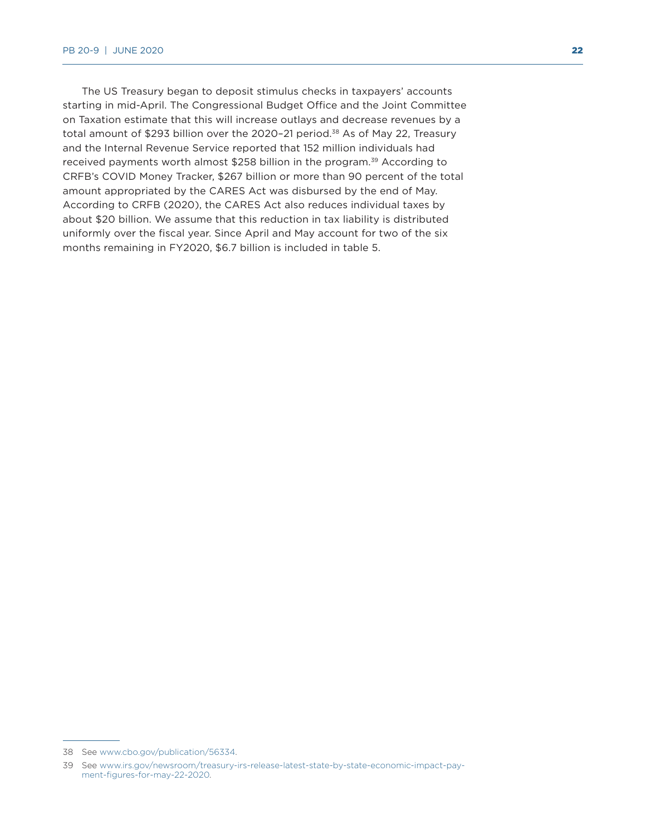The US Treasury began to deposit stimulus checks in taxpayers' accounts starting in mid-April. The Congressional Budget Office and the Joint Committee on Taxation estimate that this will increase outlays and decrease revenues by a total amount of \$293 billion over the 2020-21 period.<sup>38</sup> As of May 22, Treasury and the Internal Revenue Service reported that 152 million individuals had received payments worth almost \$258 billion in the program.<sup>39</sup> According to CRFB's COVID Money Tracker, \$267 billion or more than 90 percent of the total amount appropriated by the CARES Act was disbursed by the end of May. According to CRFB (2020), the CARES Act also reduces individual taxes by about \$20 billion. We assume that this reduction in tax liability is distributed uniformly over the fiscal year. Since April and May account for two of the six months remaining in FY2020, \$6.7 billion is included in table 5.

<sup>38</sup> See [www.cbo.gov/publication/56334](http://www.cbo.gov/publication/56334).

<sup>39</sup> See [www.irs.gov/newsroom/treasury-irs-release-latest-state-by-state-economic-impact-pay](http://www.irs.gov/newsroom/treasury-irs-release-latest-state-by-state-economic-impact-payment-figures-for-may-22-2020)[ment-figures-for-may-22-2020.](http://www.irs.gov/newsroom/treasury-irs-release-latest-state-by-state-economic-impact-payment-figures-for-may-22-2020)